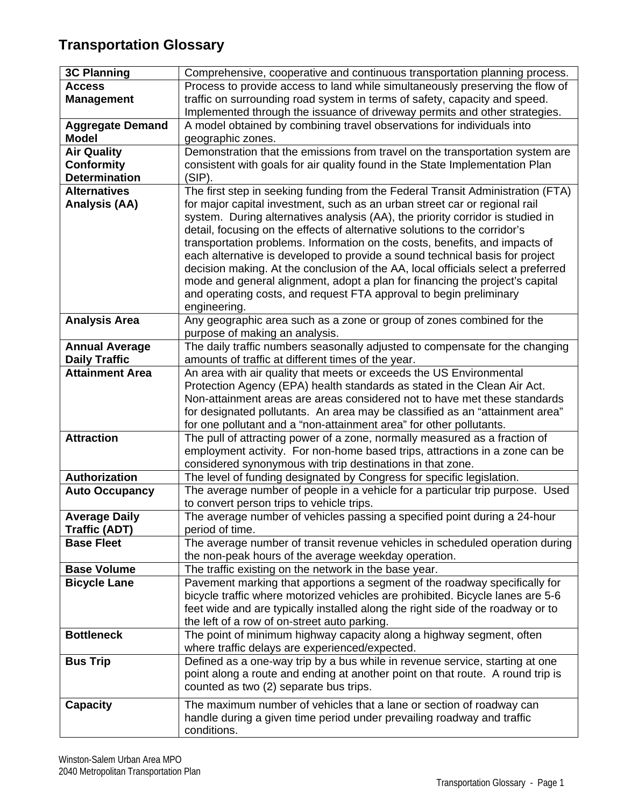## **Transportation Glossary**

| <b>3C Planning</b>      | Comprehensive, cooperative and continuous transportation planning process.       |
|-------------------------|----------------------------------------------------------------------------------|
| <b>Access</b>           | Process to provide access to land while simultaneously preserving the flow of    |
| <b>Management</b>       | traffic on surrounding road system in terms of safety, capacity and speed.       |
|                         | Implemented through the issuance of driveway permits and other strategies.       |
| <b>Aggregate Demand</b> | A model obtained by combining travel observations for individuals into           |
| <b>Model</b>            | geographic zones.                                                                |
| <b>Air Quality</b>      | Demonstration that the emissions from travel on the transportation system are    |
| <b>Conformity</b>       | consistent with goals for air quality found in the State Implementation Plan     |
| <b>Determination</b>    | $(SIP)$ .                                                                        |
| <b>Alternatives</b>     | The first step in seeking funding from the Federal Transit Administration (FTA)  |
| <b>Analysis (AA)</b>    | for major capital investment, such as an urban street car or regional rail       |
|                         | system. During alternatives analysis (AA), the priority corridor is studied in   |
|                         | detail, focusing on the effects of alternative solutions to the corridor's       |
|                         | transportation problems. Information on the costs, benefits, and impacts of      |
|                         | each alternative is developed to provide a sound technical basis for project     |
|                         | decision making. At the conclusion of the AA, local officials select a preferred |
|                         | mode and general alignment, adopt a plan for financing the project's capital     |
|                         | and operating costs, and request FTA approval to begin preliminary               |
|                         | engineering.                                                                     |
| <b>Analysis Area</b>    | Any geographic area such as a zone or group of zones combined for the            |
|                         | purpose of making an analysis.                                                   |
| <b>Annual Average</b>   | The daily traffic numbers seasonally adjusted to compensate for the changing     |
| <b>Daily Traffic</b>    | amounts of traffic at different times of the year.                               |
| <b>Attainment Area</b>  | An area with air quality that meets or exceeds the US Environmental              |
|                         | Protection Agency (EPA) health standards as stated in the Clean Air Act.         |
|                         | Non-attainment areas are areas considered not to have met these standards        |
|                         | for designated pollutants. An area may be classified as an "attainment area"     |
|                         | for one pollutant and a "non-attainment area" for other pollutants.              |
| <b>Attraction</b>       | The pull of attracting power of a zone, normally measured as a fraction of       |
|                         | employment activity. For non-home based trips, attractions in a zone can be      |
|                         | considered synonymous with trip destinations in that zone.                       |
| <b>Authorization</b>    | The level of funding designated by Congress for specific legislation.            |
| <b>Auto Occupancy</b>   | The average number of people in a vehicle for a particular trip purpose. Used    |
|                         | to convert person trips to vehicle trips.                                        |
| <b>Average Daily</b>    | The average number of vehicles passing a specified point during a 24-hour        |
| <b>Traffic (ADT)</b>    | period of time.                                                                  |
| <b>Base Fleet</b>       | The average number of transit revenue vehicles in scheduled operation during     |
|                         | the non-peak hours of the average weekday operation.                             |
| <b>Base Volume</b>      | The traffic existing on the network in the base year.                            |
| <b>Bicycle Lane</b>     | Pavement marking that apportions a segment of the roadway specifically for       |
|                         | bicycle traffic where motorized vehicles are prohibited. Bicycle lanes are 5-6   |
|                         | feet wide and are typically installed along the right side of the roadway or to  |
|                         | the left of a row of on-street auto parking.                                     |
| <b>Bottleneck</b>       | The point of minimum highway capacity along a highway segment, often             |
|                         | where traffic delays are experienced/expected.                                   |
| <b>Bus Trip</b>         | Defined as a one-way trip by a bus while in revenue service, starting at one     |
|                         | point along a route and ending at another point on that route. A round trip is   |
|                         | counted as two (2) separate bus trips.                                           |
| <b>Capacity</b>         | The maximum number of vehicles that a lane or section of roadway can             |
|                         | handle during a given time period under prevailing roadway and traffic           |
|                         | conditions.                                                                      |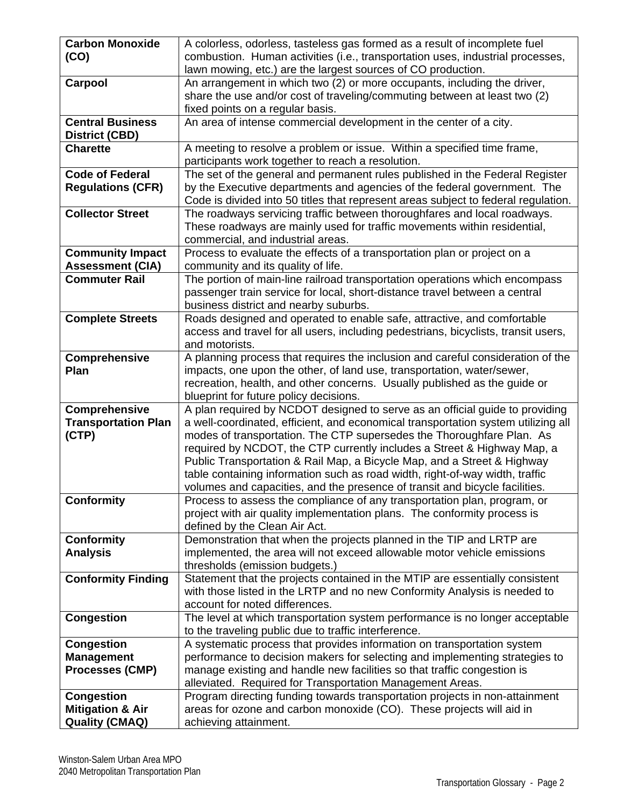| <b>Carbon Monoxide</b>      | A colorless, odorless, tasteless gas formed as a result of incomplete fuel                                                                                        |
|-----------------------------|-------------------------------------------------------------------------------------------------------------------------------------------------------------------|
| (CO)                        | combustion. Human activities (i.e., transportation uses, industrial processes,                                                                                    |
|                             | lawn mowing, etc.) are the largest sources of CO production.                                                                                                      |
| Carpool                     | An arrangement in which two (2) or more occupants, including the driver,                                                                                          |
|                             | share the use and/or cost of traveling/commuting between at least two (2)                                                                                         |
|                             | fixed points on a regular basis.                                                                                                                                  |
| <b>Central Business</b>     | An area of intense commercial development in the center of a city.                                                                                                |
| <b>District (CBD)</b>       |                                                                                                                                                                   |
| <b>Charette</b>             | A meeting to resolve a problem or issue. Within a specified time frame,                                                                                           |
|                             | participants work together to reach a resolution.                                                                                                                 |
| <b>Code of Federal</b>      | The set of the general and permanent rules published in the Federal Register                                                                                      |
| <b>Regulations (CFR)</b>    | by the Executive departments and agencies of the federal government. The                                                                                          |
|                             | Code is divided into 50 titles that represent areas subject to federal regulation.                                                                                |
| <b>Collector Street</b>     | The roadways servicing traffic between thoroughfares and local roadways.                                                                                          |
|                             | These roadways are mainly used for traffic movements within residential,                                                                                          |
|                             | commercial, and industrial areas.                                                                                                                                 |
| <b>Community Impact</b>     | Process to evaluate the effects of a transportation plan or project on a                                                                                          |
| <b>Assessment (CIA)</b>     | community and its quality of life.                                                                                                                                |
| <b>Commuter Rail</b>        | The portion of main-line railroad transportation operations which encompass                                                                                       |
|                             | passenger train service for local, short-distance travel between a central                                                                                        |
|                             | business district and nearby suburbs.                                                                                                                             |
| <b>Complete Streets</b>     | Roads designed and operated to enable safe, attractive, and comfortable                                                                                           |
|                             | access and travel for all users, including pedestrians, bicyclists, transit users,                                                                                |
|                             | and motorists.                                                                                                                                                    |
| Comprehensive               | A planning process that requires the inclusion and careful consideration of the                                                                                   |
| Plan                        | impacts, one upon the other, of land use, transportation, water/sewer,                                                                                            |
|                             | recreation, health, and other concerns. Usually published as the guide or                                                                                         |
| <b>Comprehensive</b>        | blueprint for future policy decisions.                                                                                                                            |
| <b>Transportation Plan</b>  | A plan required by NCDOT designed to serve as an official guide to providing<br>a well-coordinated, efficient, and economical transportation system utilizing all |
| (CTP)                       | modes of transportation. The CTP supersedes the Thoroughfare Plan. As                                                                                             |
|                             | required by NCDOT, the CTP currently includes a Street & Highway Map, a                                                                                           |
|                             | Public Transportation & Rail Map, a Bicycle Map, and a Street & Highway                                                                                           |
|                             | table containing information such as road width, right-of-way width, traffic                                                                                      |
|                             | volumes and capacities, and the presence of transit and bicycle facilities.                                                                                       |
| <b>Conformity</b>           | Process to assess the compliance of any transportation plan, program, or                                                                                          |
|                             | project with air quality implementation plans. The conformity process is                                                                                          |
|                             | defined by the Clean Air Act.                                                                                                                                     |
| <b>Conformity</b>           | Demonstration that when the projects planned in the TIP and LRTP are                                                                                              |
| <b>Analysis</b>             | implemented, the area will not exceed allowable motor vehicle emissions                                                                                           |
|                             | thresholds (emission budgets.)                                                                                                                                    |
| <b>Conformity Finding</b>   | Statement that the projects contained in the MTIP are essentially consistent                                                                                      |
|                             | with those listed in the LRTP and no new Conformity Analysis is needed to                                                                                         |
|                             | account for noted differences.                                                                                                                                    |
| <b>Congestion</b>           | The level at which transportation system performance is no longer acceptable                                                                                      |
|                             | to the traveling public due to traffic interference.                                                                                                              |
| <b>Congestion</b>           | A systematic process that provides information on transportation system                                                                                           |
| <b>Management</b>           | performance to decision makers for selecting and implementing strategies to                                                                                       |
| <b>Processes (CMP)</b>      | manage existing and handle new facilities so that traffic congestion is                                                                                           |
|                             | alleviated. Required for Transportation Management Areas.                                                                                                         |
| <b>Congestion</b>           | Program directing funding towards transportation projects in non-attainment                                                                                       |
| <b>Mitigation &amp; Air</b> | areas for ozone and carbon monoxide (CO). These projects will aid in                                                                                              |
| <b>Quality (CMAQ)</b>       | achieving attainment.                                                                                                                                             |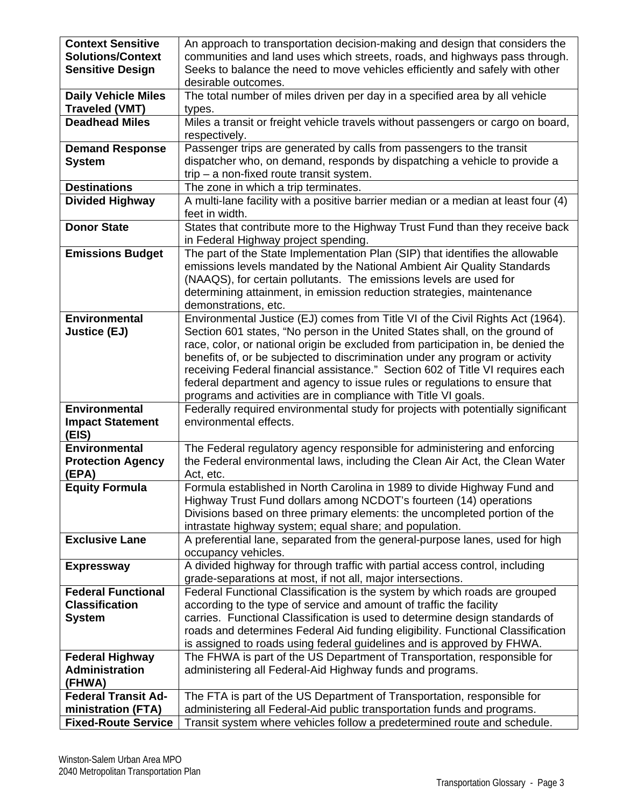| <b>Context Sensitive</b><br><b>Solutions/Context</b><br><b>Sensitive Design</b> | An approach to transportation decision-making and design that considers the<br>communities and land uses which streets, roads, and highways pass through.<br>Seeks to balance the need to move vehicles efficiently and safely with other<br>desirable outcomes.                                                                                                                                                                                                                                                                                                    |
|---------------------------------------------------------------------------------|---------------------------------------------------------------------------------------------------------------------------------------------------------------------------------------------------------------------------------------------------------------------------------------------------------------------------------------------------------------------------------------------------------------------------------------------------------------------------------------------------------------------------------------------------------------------|
| <b>Daily Vehicle Miles</b><br><b>Traveled (VMT)</b>                             | The total number of miles driven per day in a specified area by all vehicle<br>types.                                                                                                                                                                                                                                                                                                                                                                                                                                                                               |
| <b>Deadhead Miles</b>                                                           | Miles a transit or freight vehicle travels without passengers or cargo on board,<br>respectively.                                                                                                                                                                                                                                                                                                                                                                                                                                                                   |
| <b>Demand Response</b><br><b>System</b>                                         | Passenger trips are generated by calls from passengers to the transit<br>dispatcher who, on demand, responds by dispatching a vehicle to provide a<br>$trip - a non-fixed route transit system.$                                                                                                                                                                                                                                                                                                                                                                    |
| <b>Destinations</b><br><b>Divided Highway</b>                                   | The zone in which a trip terminates.<br>A multi-lane facility with a positive barrier median or a median at least four (4)<br>feet in width.                                                                                                                                                                                                                                                                                                                                                                                                                        |
| <b>Donor State</b>                                                              | States that contribute more to the Highway Trust Fund than they receive back<br>in Federal Highway project spending.                                                                                                                                                                                                                                                                                                                                                                                                                                                |
| <b>Emissions Budget</b>                                                         | The part of the State Implementation Plan (SIP) that identifies the allowable<br>emissions levels mandated by the National Ambient Air Quality Standards<br>(NAAQS), for certain pollutants. The emissions levels are used for<br>determining attainment, in emission reduction strategies, maintenance<br>demonstrations, etc.                                                                                                                                                                                                                                     |
| <b>Environmental</b><br><b>Justice (EJ)</b>                                     | Environmental Justice (EJ) comes from Title VI of the Civil Rights Act (1964).<br>Section 601 states, "No person in the United States shall, on the ground of<br>race, color, or national origin be excluded from participation in, be denied the<br>benefits of, or be subjected to discrimination under any program or activity<br>receiving Federal financial assistance." Section 602 of Title VI requires each<br>federal department and agency to issue rules or regulations to ensure that<br>programs and activities are in compliance with Title VI goals. |
| <b>Environmental</b><br><b>Impact Statement</b><br>(EIS)                        | Federally required environmental study for projects with potentially significant<br>environmental effects.                                                                                                                                                                                                                                                                                                                                                                                                                                                          |
| <b>Environmental</b><br><b>Protection Agency</b><br>(EPA)                       | The Federal regulatory agency responsible for administering and enforcing<br>the Federal environmental laws, including the Clean Air Act, the Clean Water<br>Act, etc.                                                                                                                                                                                                                                                                                                                                                                                              |
| <b>Equity Formula</b>                                                           | Formula established in North Carolina in 1989 to divide Highway Fund and<br>Highway Trust Fund dollars among NCDOT's fourteen (14) operations<br>Divisions based on three primary elements: the uncompleted portion of the<br>intrastate highway system; equal share; and population.                                                                                                                                                                                                                                                                               |
| <b>Exclusive Lane</b>                                                           | A preferential lane, separated from the general-purpose lanes, used for high<br>occupancy vehicles.                                                                                                                                                                                                                                                                                                                                                                                                                                                                 |
| <b>Expressway</b>                                                               | A divided highway for through traffic with partial access control, including<br>grade-separations at most, if not all, major intersections.                                                                                                                                                                                                                                                                                                                                                                                                                         |
| <b>Federal Functional</b><br><b>Classification</b><br><b>System</b>             | Federal Functional Classification is the system by which roads are grouped<br>according to the type of service and amount of traffic the facility<br>carries. Functional Classification is used to determine design standards of<br>roads and determines Federal Aid funding eligibility. Functional Classification<br>is assigned to roads using federal guidelines and is approved by FHWA.                                                                                                                                                                       |
| <b>Federal Highway</b><br><b>Administration</b><br>(FHWA)                       | The FHWA is part of the US Department of Transportation, responsible for<br>administering all Federal-Aid Highway funds and programs.                                                                                                                                                                                                                                                                                                                                                                                                                               |
| <b>Federal Transit Ad-</b><br>ministration (FTA)<br><b>Fixed-Route Service</b>  | The FTA is part of the US Department of Transportation, responsible for<br>administering all Federal-Aid public transportation funds and programs.<br>Transit system where vehicles follow a predetermined route and schedule.                                                                                                                                                                                                                                                                                                                                      |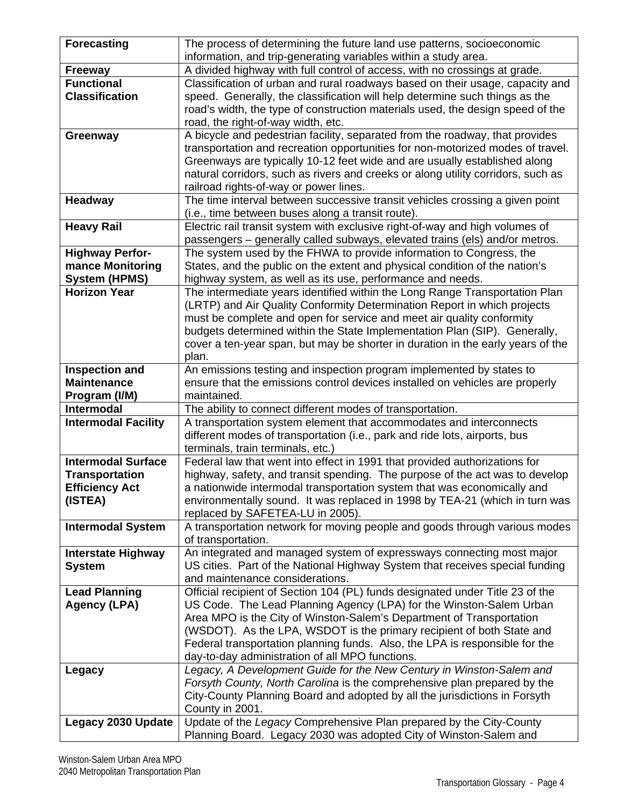| <b>Forecasting</b>                         | The process of determining the future land use patterns, socioeconomic                                                                                        |
|--------------------------------------------|---------------------------------------------------------------------------------------------------------------------------------------------------------------|
|                                            | information, and trip-generating variables within a study area.                                                                                               |
| <b>Freeway</b>                             | A divided highway with full control of access, with no crossings at grade.                                                                                    |
| <b>Functional</b>                          | Classification of urban and rural roadways based on their usage, capacity and                                                                                 |
| <b>Classification</b>                      | speed. Generally, the classification will help determine such things as the                                                                                   |
|                                            | road's width, the type of construction materials used, the design speed of the                                                                                |
|                                            | road, the right-of-way width, etc.                                                                                                                            |
| Greenway                                   | A bicycle and pedestrian facility, separated from the roadway, that provides                                                                                  |
|                                            | transportation and recreation opportunities for non-motorized modes of travel.                                                                                |
|                                            | Greenways are typically 10-12 feet wide and are usually established along<br>natural corridors, such as rivers and creeks or along utility corridors, such as |
|                                            | railroad rights-of-way or power lines.                                                                                                                        |
| <b>Headway</b>                             | The time interval between successive transit vehicles crossing a given point                                                                                  |
|                                            | (i.e., time between buses along a transit route).                                                                                                             |
| <b>Heavy Rail</b>                          | Electric rail transit system with exclusive right-of-way and high volumes of                                                                                  |
|                                            | passengers - generally called subways, elevated trains (els) and/or metros.                                                                                   |
| <b>Highway Perfor-</b>                     | The system used by the FHWA to provide information to Congress, the                                                                                           |
| mance Monitoring                           | States, and the public on the extent and physical condition of the nation's                                                                                   |
| <b>System (HPMS)</b>                       | highway system, as well as its use, performance and needs.                                                                                                    |
| <b>Horizon Year</b>                        | The intermediate years identified within the Long Range Transportation Plan                                                                                   |
|                                            | (LRTP) and Air Quality Conformity Determination Report in which projects                                                                                      |
|                                            | must be complete and open for service and meet air quality conformity                                                                                         |
|                                            | budgets determined within the State Implementation Plan (SIP). Generally,                                                                                     |
|                                            | cover a ten-year span, but may be shorter in duration in the early years of the                                                                               |
|                                            | plan.                                                                                                                                                         |
| <b>Inspection and</b>                      | An emissions testing and inspection program implemented by states to                                                                                          |
| <b>Maintenance</b><br>Program (I/M)        | ensure that the emissions control devices installed on vehicles are properly<br>maintained.                                                                   |
| <b>Intermodal</b>                          | The ability to connect different modes of transportation.                                                                                                     |
| <b>Intermodal Facility</b>                 | A transportation system element that accommodates and interconnects                                                                                           |
|                                            | different modes of transportation (i.e., park and ride lots, airports, bus                                                                                    |
|                                            | terminals, train terminals, etc.)                                                                                                                             |
| <b>Intermodal Surface</b>                  | Federal law that went into effect in 1991 that provided authorizations for                                                                                    |
| <b>Transportation</b>                      | highway, safety, and transit spending. The purpose of the act was to develop                                                                                  |
| <b>Efficiency Act</b>                      | a nationwide intermodal transportation system that was economically and                                                                                       |
| (ISTEA)                                    | environmentally sound. It was replaced in 1998 by TEA-21 (which in turn was                                                                                   |
|                                            | replaced by SAFETEA-LU in 2005).                                                                                                                              |
| <b>Intermodal System</b>                   | A transportation network for moving people and goods through various modes                                                                                    |
|                                            | of transportation.                                                                                                                                            |
| <b>Interstate Highway</b><br><b>System</b> | An integrated and managed system of expressways connecting most major<br>US cities. Part of the National Highway System that receives special funding         |
|                                            | and maintenance considerations.                                                                                                                               |
| <b>Lead Planning</b>                       | Official recipient of Section 104 (PL) funds designated under Title 23 of the                                                                                 |
| <b>Agency (LPA)</b>                        | US Code. The Lead Planning Agency (LPA) for the Winston-Salem Urban                                                                                           |
|                                            | Area MPO is the City of Winston-Salem's Department of Transportation                                                                                          |
|                                            | (WSDOT). As the LPA, WSDOT is the primary recipient of both State and                                                                                         |
|                                            | Federal transportation planning funds. Also, the LPA is responsible for the                                                                                   |
|                                            | day-to-day administration of all MPO functions.                                                                                                               |
| Legacy                                     | Legacy, A Development Guide for the New Century in Winston-Salem and                                                                                          |
|                                            | Forsyth County, North Carolina is the comprehensive plan prepared by the                                                                                      |
|                                            | City-County Planning Board and adopted by all the jurisdictions in Forsyth                                                                                    |
|                                            | County in 2001.                                                                                                                                               |
| <b>Legacy 2030 Update</b>                  | Update of the Legacy Comprehensive Plan prepared by the City-County                                                                                           |
|                                            | Planning Board. Legacy 2030 was adopted City of Winston-Salem and                                                                                             |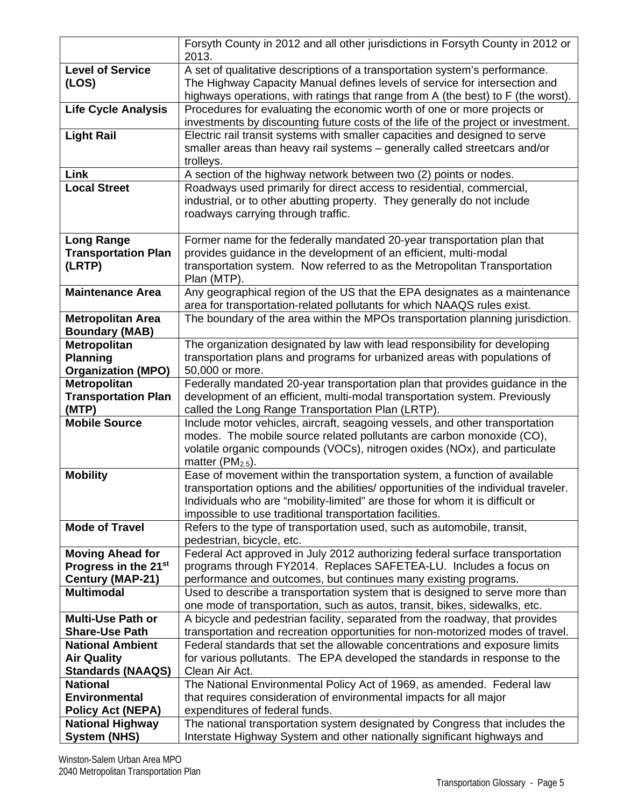|                                               | Forsyth County in 2012 and all other jurisdictions in Forsyth County in 2012 or<br>2013.                                                                  |
|-----------------------------------------------|-----------------------------------------------------------------------------------------------------------------------------------------------------------|
| <b>Level of Service</b>                       | A set of qualitative descriptions of a transportation system's performance.                                                                               |
| (LOS)                                         | The Highway Capacity Manual defines levels of service for intersection and                                                                                |
|                                               | highways operations, with ratings that range from A (the best) to F (the worst).                                                                          |
| <b>Life Cycle Analysis</b>                    | Procedures for evaluating the economic worth of one or more projects or                                                                                   |
|                                               | investments by discounting future costs of the life of the project or investment.                                                                         |
| <b>Light Rail</b>                             | Electric rail transit systems with smaller capacities and designed to serve                                                                               |
|                                               | smaller areas than heavy rail systems - generally called streetcars and/or                                                                                |
|                                               | trolleys.                                                                                                                                                 |
| Link                                          | A section of the highway network between two (2) points or nodes.                                                                                         |
| <b>Local Street</b>                           | Roadways used primarily for direct access to residential, commercial,<br>industrial, or to other abutting property. They generally do not include         |
|                                               | roadways carrying through traffic.                                                                                                                        |
|                                               |                                                                                                                                                           |
| <b>Long Range</b>                             | Former name for the federally mandated 20-year transportation plan that                                                                                   |
| <b>Transportation Plan</b>                    | provides guidance in the development of an efficient, multi-modal                                                                                         |
| (LRTP)                                        | transportation system. Now referred to as the Metropolitan Transportation                                                                                 |
|                                               | Plan (MTP).                                                                                                                                               |
| <b>Maintenance Area</b>                       | Any geographical region of the US that the EPA designates as a maintenance                                                                                |
| <b>Metropolitan Area</b>                      | area for transportation-related pollutants for which NAAQS rules exist.<br>The boundary of the area within the MPOs transportation planning jurisdiction. |
| <b>Boundary (MAB)</b>                         |                                                                                                                                                           |
| <b>Metropolitan</b>                           | The organization designated by law with lead responsibility for developing                                                                                |
| <b>Planning</b>                               | transportation plans and programs for urbanized areas with populations of                                                                                 |
| <b>Organization (MPO)</b>                     | 50,000 or more.                                                                                                                                           |
| <b>Metropolitan</b>                           | Federally mandated 20-year transportation plan that provides guidance in the                                                                              |
| <b>Transportation Plan</b>                    | development of an efficient, multi-modal transportation system. Previously                                                                                |
| (MTP)<br><b>Mobile Source</b>                 | called the Long Range Transportation Plan (LRTP).<br>Include motor vehicles, aircraft, seagoing vessels, and other transportation                         |
|                                               | modes. The mobile source related pollutants are carbon monoxide (CO),                                                                                     |
|                                               | volatile organic compounds (VOCs), nitrogen oxides (NOx), and particulate                                                                                 |
|                                               | matter ( $PM2.5$ ).                                                                                                                                       |
| <b>Mobility</b>                               | Ease of movement within the transportation system, a function of available                                                                                |
|                                               | transportation options and the abilities/ opportunities of the individual traveler.                                                                       |
|                                               | Individuals who are "mobility-limited" are those for whom it is difficult or                                                                              |
|                                               | impossible to use traditional transportation facilities.                                                                                                  |
| <b>Mode of Travel</b>                         | Refers to the type of transportation used, such as automobile, transit,<br>pedestrian, bicycle, etc.                                                      |
| <b>Moving Ahead for</b>                       | Federal Act approved in July 2012 authorizing federal surface transportation                                                                              |
| Progress in the 21 <sup>st</sup>              | programs through FY2014. Replaces SAFETEA-LU. Includes a focus on                                                                                         |
| Century (MAP-21)                              | performance and outcomes, but continues many existing programs.                                                                                           |
| <b>Multimodal</b>                             | Used to describe a transportation system that is designed to serve more than                                                                              |
|                                               | one mode of transportation, such as autos, transit, bikes, sidewalks, etc.                                                                                |
| <b>Multi-Use Path or</b>                      | A bicycle and pedestrian facility, separated from the roadway, that provides                                                                              |
| <b>Share-Use Path</b>                         | transportation and recreation opportunities for non-motorized modes of travel.                                                                            |
| <b>National Ambient</b><br><b>Air Quality</b> | Federal standards that set the allowable concentrations and exposure limits<br>for various pollutants. The EPA developed the standards in response to the |
| <b>Standards (NAAQS)</b>                      | Clean Air Act.                                                                                                                                            |
| <b>National</b>                               | The National Environmental Policy Act of 1969, as amended. Federal law                                                                                    |
| <b>Environmental</b>                          | that requires consideration of environmental impacts for all major                                                                                        |
| <b>Policy Act (NEPA)</b>                      | expenditures of federal funds.                                                                                                                            |
| <b>National Highway</b>                       | The national transportation system designated by Congress that includes the                                                                               |
| <b>System (NHS)</b>                           | Interstate Highway System and other nationally significant highways and                                                                                   |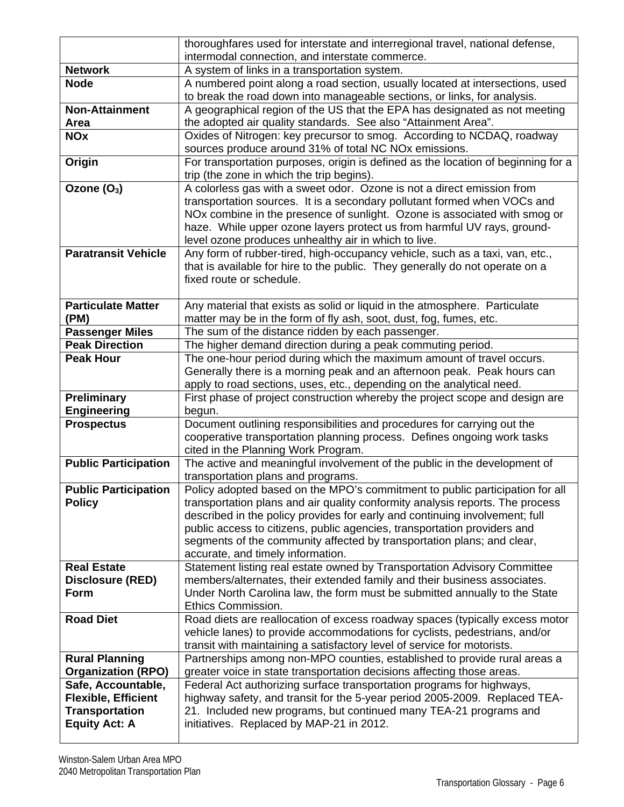|                                                 | thoroughfares used for interstate and interregional travel, national defense,                                                                                                                                |
|-------------------------------------------------|--------------------------------------------------------------------------------------------------------------------------------------------------------------------------------------------------------------|
|                                                 | intermodal connection, and interstate commerce.                                                                                                                                                              |
| <b>Network</b>                                  | A system of links in a transportation system.                                                                                                                                                                |
| <b>Node</b>                                     | A numbered point along a road section, usually located at intersections, used<br>to break the road down into manageable sections, or links, for analysis.                                                    |
| <b>Non-Attainment</b>                           | A geographical region of the US that the EPA has designated as not meeting                                                                                                                                   |
| Area                                            | the adopted air quality standards. See also "Attainment Area".                                                                                                                                               |
| <b>NOx</b>                                      | Oxides of Nitrogen: key precursor to smog. According to NCDAQ, roadway                                                                                                                                       |
|                                                 | sources produce around 31% of total NC NOx emissions.                                                                                                                                                        |
| Origin                                          | For transportation purposes, origin is defined as the location of beginning for a<br>trip (the zone in which the trip begins).                                                                               |
| Ozone (O <sub>3</sub> )                         | A colorless gas with a sweet odor. Ozone is not a direct emission from<br>transportation sources. It is a secondary pollutant formed when VOCs and                                                           |
|                                                 | NOx combine in the presence of sunlight. Ozone is associated with smog or<br>haze. While upper ozone layers protect us from harmful UV rays, ground-<br>level ozone produces unhealthy air in which to live. |
| <b>Paratransit Vehicle</b>                      | Any form of rubber-tired, high-occupancy vehicle, such as a taxi, van, etc.,                                                                                                                                 |
|                                                 | that is available for hire to the public. They generally do not operate on a<br>fixed route or schedule.                                                                                                     |
| <b>Particulate Matter</b>                       | Any material that exists as solid or liquid in the atmosphere. Particulate                                                                                                                                   |
| (PM)                                            | matter may be in the form of fly ash, soot, dust, fog, fumes, etc.                                                                                                                                           |
| <b>Passenger Miles</b>                          | The sum of the distance ridden by each passenger.                                                                                                                                                            |
| <b>Peak Direction</b>                           | The higher demand direction during a peak commuting period.                                                                                                                                                  |
| <b>Peak Hour</b>                                | The one-hour period during which the maximum amount of travel occurs.                                                                                                                                        |
|                                                 | Generally there is a morning peak and an afternoon peak. Peak hours can                                                                                                                                      |
|                                                 | apply to road sections, uses, etc., depending on the analytical need.                                                                                                                                        |
| <b>Preliminary</b>                              | First phase of project construction whereby the project scope and design are                                                                                                                                 |
| <b>Engineering</b>                              | begun.                                                                                                                                                                                                       |
| <b>Prospectus</b>                               | Document outlining responsibilities and procedures for carrying out the                                                                                                                                      |
|                                                 | cooperative transportation planning process. Defines ongoing work tasks                                                                                                                                      |
|                                                 |                                                                                                                                                                                                              |
|                                                 | cited in the Planning Work Program.                                                                                                                                                                          |
| <b>Public Participation</b>                     | The active and meaningful involvement of the public in the development of<br>transportation plans and programs.                                                                                              |
| <b>Public Participation</b>                     | Policy adopted based on the MPO's commitment to public participation for all                                                                                                                                 |
| <b>Policy</b>                                   | transportation plans and air quality conformity analysis reports. The process                                                                                                                                |
|                                                 | described in the policy provides for early and continuing involvement; full                                                                                                                                  |
|                                                 | public access to citizens, public agencies, transportation providers and                                                                                                                                     |
|                                                 | segments of the community affected by transportation plans; and clear,                                                                                                                                       |
|                                                 | accurate, and timely information.                                                                                                                                                                            |
| <b>Real Estate</b>                              | Statement listing real estate owned by Transportation Advisory Committee                                                                                                                                     |
| Disclosure (RED)                                | members/alternates, their extended family and their business associates.                                                                                                                                     |
| <b>Form</b>                                     | Under North Carolina law, the form must be submitted annually to the State                                                                                                                                   |
|                                                 | Ethics Commission.                                                                                                                                                                                           |
| <b>Road Diet</b>                                | Road diets are reallocation of excess roadway spaces (typically excess motor                                                                                                                                 |
|                                                 | vehicle lanes) to provide accommodations for cyclists, pedestrians, and/or                                                                                                                                   |
|                                                 | transit with maintaining a satisfactory level of service for motorists.                                                                                                                                      |
| <b>Rural Planning</b>                           | Partnerships among non-MPO counties, established to provide rural areas a                                                                                                                                    |
| <b>Organization (RPO)</b><br>Safe, Accountable, | greater voice in state transportation decisions affecting those areas.<br>Federal Act authorizing surface transportation programs for highways,                                                              |
| <b>Flexible, Efficient</b>                      | highway safety, and transit for the 5-year period 2005-2009. Replaced TEA-                                                                                                                                   |
| <b>Transportation</b>                           | 21. Included new programs, but continued many TEA-21 programs and                                                                                                                                            |
| <b>Equity Act: A</b>                            | initiatives. Replaced by MAP-21 in 2012.                                                                                                                                                                     |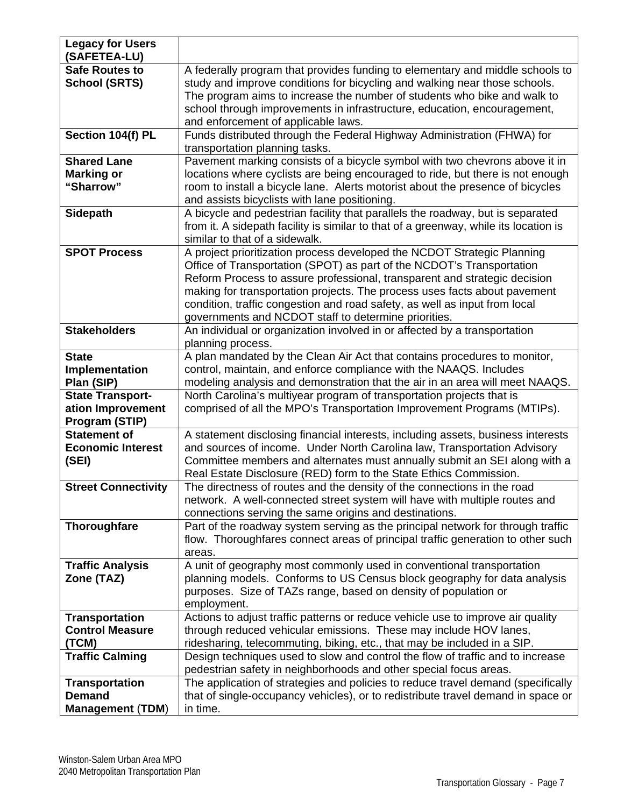| <b>Legacy for Users</b><br>(SAFETEA-LU)                           |                                                                                                                                                                                                                                                                                                                                                                                                                                                  |
|-------------------------------------------------------------------|--------------------------------------------------------------------------------------------------------------------------------------------------------------------------------------------------------------------------------------------------------------------------------------------------------------------------------------------------------------------------------------------------------------------------------------------------|
| <b>Safe Routes to</b><br><b>School (SRTS)</b>                     | A federally program that provides funding to elementary and middle schools to<br>study and improve conditions for bicycling and walking near those schools.<br>The program aims to increase the number of students who bike and walk to<br>school through improvements in infrastructure, education, encouragement,<br>and enforcement of applicable laws.                                                                                       |
| Section 104(f) PL                                                 | Funds distributed through the Federal Highway Administration (FHWA) for<br>transportation planning tasks.                                                                                                                                                                                                                                                                                                                                        |
| <b>Shared Lane</b><br><b>Marking or</b><br>"Sharrow"              | Pavement marking consists of a bicycle symbol with two chevrons above it in<br>locations where cyclists are being encouraged to ride, but there is not enough<br>room to install a bicycle lane. Alerts motorist about the presence of bicycles<br>and assists bicyclists with lane positioning.                                                                                                                                                 |
| Sidepath                                                          | A bicycle and pedestrian facility that parallels the roadway, but is separated<br>from it. A sidepath facility is similar to that of a greenway, while its location is<br>similar to that of a sidewalk.                                                                                                                                                                                                                                         |
| <b>SPOT Process</b>                                               | A project prioritization process developed the NCDOT Strategic Planning<br>Office of Transportation (SPOT) as part of the NCDOT's Transportation<br>Reform Process to assure professional, transparent and strategic decision<br>making for transportation projects. The process uses facts about pavement<br>condition, traffic congestion and road safety, as well as input from local<br>governments and NCDOT staff to determine priorities. |
| <b>Stakeholders</b>                                               | An individual or organization involved in or affected by a transportation<br>planning process.                                                                                                                                                                                                                                                                                                                                                   |
| <b>State</b><br>Implementation<br>Plan (SIP)                      | A plan mandated by the Clean Air Act that contains procedures to monitor,<br>control, maintain, and enforce compliance with the NAAQS. Includes<br>modeling analysis and demonstration that the air in an area will meet NAAQS.                                                                                                                                                                                                                  |
| <b>State Transport-</b><br>ation Improvement<br>Program (STIP)    | North Carolina's multiyear program of transportation projects that is<br>comprised of all the MPO's Transportation Improvement Programs (MTIPs).                                                                                                                                                                                                                                                                                                 |
| <b>Statement of</b><br><b>Economic Interest</b><br>(SEI)          | A statement disclosing financial interests, including assets, business interests<br>and sources of income. Under North Carolina law, Transportation Advisory<br>Committee members and alternates must annually submit an SEI along with a<br>Real Estate Disclosure (RED) form to the State Ethics Commission.                                                                                                                                   |
| <b>Street Connectivity</b>                                        | The directness of routes and the density of the connections in the road<br>network. A well-connected street system will have with multiple routes and<br>connections serving the same origins and destinations.                                                                                                                                                                                                                                  |
| Thoroughfare                                                      | Part of the roadway system serving as the principal network for through traffic<br>flow. Thoroughfares connect areas of principal traffic generation to other such<br>areas.                                                                                                                                                                                                                                                                     |
| <b>Traffic Analysis</b><br>Zone (TAZ)                             | A unit of geography most commonly used in conventional transportation<br>planning models. Conforms to US Census block geography for data analysis<br>purposes. Size of TAZs range, based on density of population or<br>employment.                                                                                                                                                                                                              |
| <b>Transportation</b><br><b>Control Measure</b><br>(TCM)          | Actions to adjust traffic patterns or reduce vehicle use to improve air quality<br>through reduced vehicular emissions. These may include HOV lanes,<br>ridesharing, telecommuting, biking, etc., that may be included in a SIP.                                                                                                                                                                                                                 |
| <b>Traffic Calming</b>                                            | Design techniques used to slow and control the flow of traffic and to increase<br>pedestrian safety in neighborhoods and other special focus areas.                                                                                                                                                                                                                                                                                              |
| <b>Transportation</b><br><b>Demand</b><br><b>Management (TDM)</b> | The application of strategies and policies to reduce travel demand (specifically<br>that of single-occupancy vehicles), or to redistribute travel demand in space or<br>in time.                                                                                                                                                                                                                                                                 |